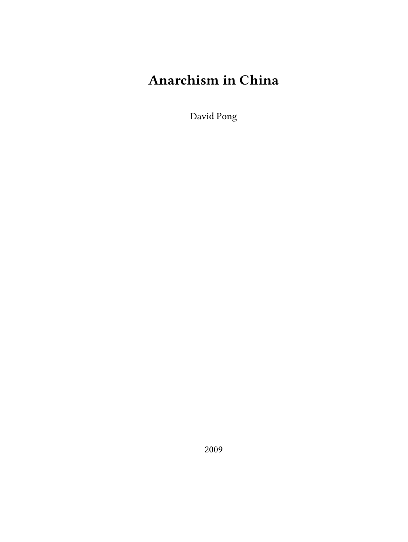# **Anarchism in China**

David Pong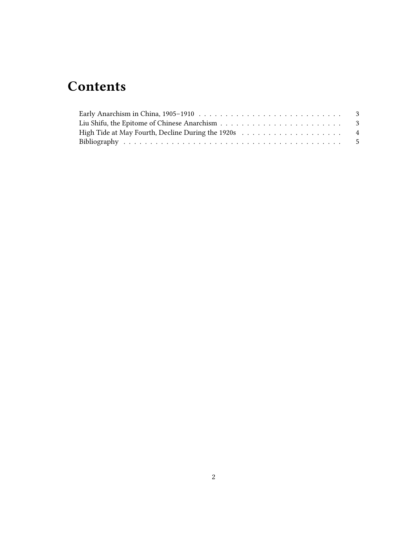## **Contents**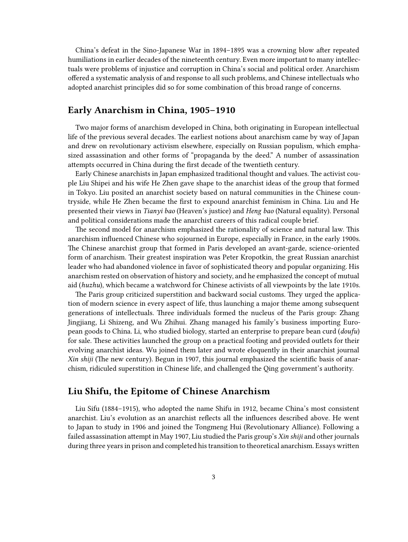China's defeat in the Sino-Japanese War in 1894–1895 was a crowning blow after repeated humiliations in earlier decades of the nineteenth century. Even more important to many intellectuals were problems of injustice and corruption in China's social and political order. Anarchism offered a systematic analysis of and response to all such problems, and Chinese intellectuals who adopted anarchist principles did so for some combination of this broad range of concerns.

#### <span id="page-2-0"></span>**Early Anarchism in China, 1905–1910**

Two major forms of anarchism developed in China, both originating in European intellectual life of the previous several decades. The earliest notions about anarchism came by way of Japan and drew on revolutionary activism elsewhere, especially on Russian populism, which emphasized assassination and other forms of "propaganda by the deed." A number of assassination attempts occurred in China during the first decade of the twentieth century.

Early Chinese anarchists in Japan emphasized traditional thought and values. The activist couple Liu Shipei and his wife He Zhen gave shape to the anarchist ideas of the group that formed in Tokyo. Liu posited an anarchist society based on natural communities in the Chinese countryside, while He Zhen became the first to expound anarchist feminism in China. Liu and He presented their views in *Tianyi bao* (Heaven's justice) and *Heng bao* (Natural equality). Personal and political considerations made the anarchist careers of this radical couple brief.

The second model for anarchism emphasized the rationality of science and natural law. This anarchism influenced Chinese who sojourned in Europe, especially in France, in the early 1900s. The Chinese anarchist group that formed in Paris developed an avant-garde, science-oriented form of anarchism. Their greatest inspiration was Peter Kropotkin, the great Russian anarchist leader who had abandoned violence in favor of sophisticated theory and popular organizing. His anarchism rested on observation of history and society, and he emphasized the concept of mutual aid (*huzhu*), which became a watchword for Chinese activists of all viewpoints by the late 1910s.

The Paris group criticized superstition and backward social customs. They urged the application of modern science in every aspect of life, thus launching a major theme among subsequent generations of intellectuals. Three individuals formed the nucleus of the Paris group: Zhang Jingjiang, Li Shizeng, and Wu Zhihui. Zhang managed his family's business importing European goods to China. Li, who studied biology, started an enterprise to prepare bean curd (*doufu*) for sale. These activities launched the group on a practical footing and provided outlets for their evolving anarchist ideas. Wu joined them later and wrote eloquently in their anarchist journal *Xin shiji* (The new century). Begun in 1907, this journal emphasized the scientific basis of anarchism, ridiculed superstition in Chinese life, and challenged the Qing government's authority.

#### <span id="page-2-1"></span>**Liu Shifu, the Epitome of Chinese Anarchism**

Liu Sifu (1884–1915), who adopted the name Shifu in 1912, became China's most consistent anarchist. Liu's evolution as an anarchist reflects all the influences described above. He went to Japan to study in 1906 and joined the Tongmeng Hui (Revolutionary Alliance). Following a failed assassination attempt in May 1907, Liu studied the Paris group's *Xin shiji* and other journals during three years in prison and completed his transition to theoretical anarchism. Essays written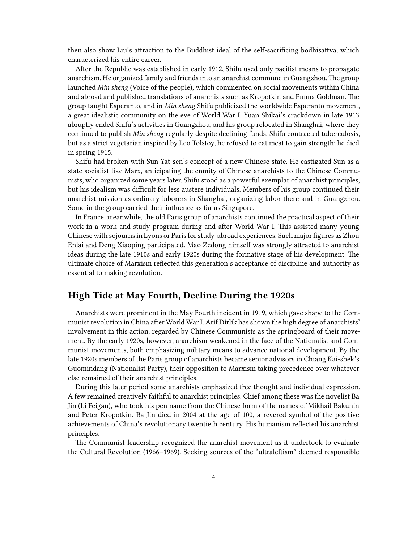then also show Liu's attraction to the Buddhist ideal of the self-sacrificing bodhisattva, which characterized his entire career.

After the Republic was established in early 1912, Shifu used only pacifist means to propagate anarchism. He organized family and friends into an anarchist commune in Guangzhou. The group launched *Min sheng* (Voice of the people), which commented on social movements within China and abroad and published translations of anarchists such as Kropotkin and Emma Goldman. The group taught Esperanto, and in *Min sheng* Shifu publicized the worldwide Esperanto movement, a great idealistic community on the eve of World War I. Yuan Shikai's crackdown in late 1913 abruptly ended Shifu's activities in Guangzhou, and his group relocated in Shanghai, where they continued to publish *Min sheng* regularly despite declining funds. Shifu contracted tuberculosis, but as a strict vegetarian inspired by Leo Tolstoy, he refused to eat meat to gain strength; he died in spring 1915.

Shifu had broken with Sun Yat-sen's concept of a new Chinese state. He castigated Sun as a state socialist like Marx, anticipating the enmity of Chinese anarchists to the Chinese Communists, who organized some years later. Shifu stood as a powerful exemplar of anarchist principles, but his idealism was difficult for less austere individuals. Members of his group continued their anarchist mission as ordinary laborers in Shanghai, organizing labor there and in Guangzhou. Some in the group carried their influence as far as Singapore.

In France, meanwhile, the old Paris group of anarchists continued the practical aspect of their work in a work-and-study program during and after World War I. This assisted many young Chinese with sojourns in Lyons or Paris for study-abroad experiences. Such major figures as Zhou Enlai and Deng Xiaoping participated. Mao Zedong himself was strongly attracted to anarchist ideas during the late 1910s and early 1920s during the formative stage of his development. The ultimate choice of Marxism reflected this generation's acceptance of discipline and authority as essential to making revolution.

#### <span id="page-3-0"></span>**High Tide at May Fourth, Decline During the 1920s**

Anarchists were prominent in the May Fourth incident in 1919, which gave shape to the Communist revolution in China after World War I. Arif Dirlik has shown the high degree of anarchists' involvement in this action, regarded by Chinese Communists as the springboard of their movement. By the early 1920s, however, anarchism weakened in the face of the Nationalist and Communist movements, both emphasizing military means to advance national development. By the late 1920s members of the Paris group of anarchists became senior advisors in Chiang Kai-shek's Guomindang (Nationalist Party), their opposition to Marxism taking precedence over whatever else remained of their anarchist principles.

During this later period some anarchists emphasized free thought and individual expression. A few remained creatively faithful to anarchist principles. Chief among these was the novelist Ba Jin (Li Feigan), who took his pen name from the Chinese form of the names of Mikhail Bakunin and Peter Kropotkin. Ba Jin died in 2004 at the age of 100, a revered symbol of the positive achievements of China's revolutionary twentieth century. His humanism reflected his anarchist principles.

The Communist leadership recognized the anarchist movement as it undertook to evaluate the Cultural Revolution (1966–1969). Seeking sources of the "ultraleftism" deemed responsible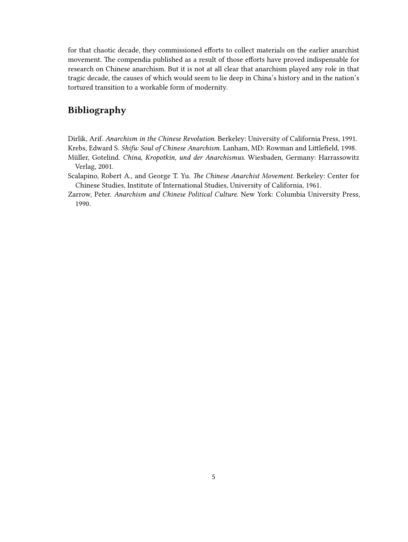for that chaotic decade, they commissioned efforts to collect materials on the earlier anarchist movement. The compendia published as a result of those efforts have proved indispensable for research on Chinese anarchism. But it is not at all clear that anarchism played any role in that tragic decade, the causes of which would seem to lie deep in China's history and in the nation's tortured transition to a workable form of modernity.

### <span id="page-4-0"></span>**Bibliography**

Dirlik, Arif. *Anarchism in the Chinese Revolution*. Berkeley: University of California Press, 1991. Krebs, Edward S. *Shifu: Soul of Chinese Anarchism*. Lanham, MD: Rowman and Littlefield, 1998.

- Müller, Gotelind. *China, Kropotkin, und der Anarchismus*. Wiesbaden, Germany: Harrassowitz Verlag, 2001.
- Scalapino, Robert A., and George T. Yu. *The Chinese Anarchist Movement*. Berkeley: Center for Chinese Studies, Institute of International Studies, University of California, 1961.
- Zarrow, Peter. *Anarchism and Chinese Political Culture*. New York: Columbia University Press, 1990.